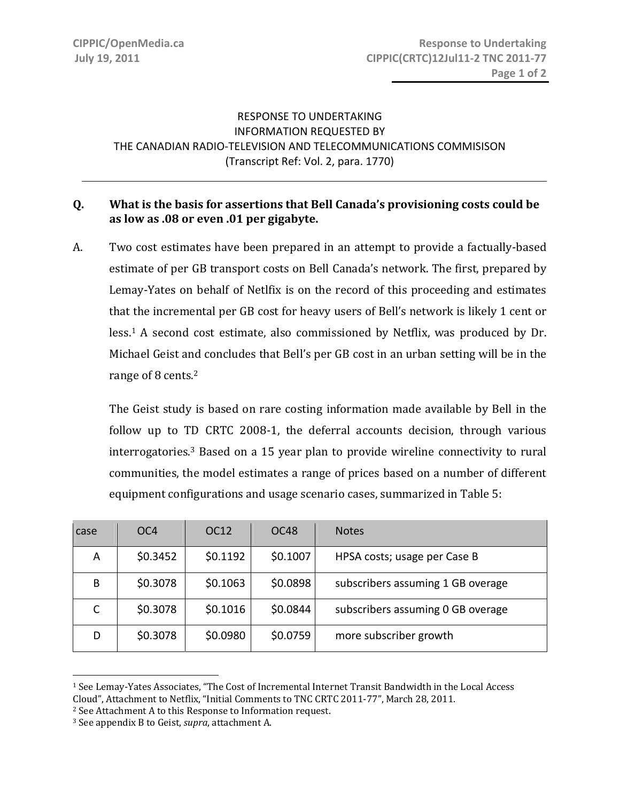## RESPONSE TO UNDERTAKING INFORMATION REQUESTED BY THE CANADIAN RADIO‐TELEVISION AND TELECOMMUNICATIONS COMMISISON (Transcript Ref: Vol. 2, para. 1770)

l,

## **Q. What is the basis for assertions that Bell Canada's provisioning costs could be as low as .08 or even .01 per gigabyte.**

A. Two cost estimates have been prepared in an attempt to provide a factually‐based estimate of per GB transport costs on Bell Canada's network. The first, prepared by Lemay‐Yates on behalf of Netlfix is on the record of this proceeding and estimates that the incremental per GB cost for heavy users of Bell's network is likely 1 cent or less.<sup>1</sup> A second cost estimate, also commissioned by Netflix, was produced by Dr. Michael Geist and concludes that Bell's per GB cost in an urban setting will be in the range of 8 cents.<sup>2</sup>

 The Geist study is based on rare costing information made available by Bell in the follow up to TD CRTC 2008-1, the deferral accounts decision, through various interrogatories.3 Based on a 15 year plan to provide wireline connectivity to rural communities, the model estimates a range of prices based on a number of different equipment configurations and usage scenario cases, summarized in Table 5:

| case | OC <sub>4</sub> | OC12     | OC48     | <b>Notes</b>                      |
|------|-----------------|----------|----------|-----------------------------------|
| A    | \$0.3452        | \$0.1192 | \$0.1007 | HPSA costs; usage per Case B      |
| B    | \$0.3078        | \$0.1063 | \$0.0898 | subscribers assuming 1 GB overage |
|      | \$0.3078        | \$0.1016 | \$0.0844 | subscribers assuming 0 GB overage |
| D    | \$0.3078        | \$0.0980 | \$0.0759 | more subscriber growth            |

<sup>1</sup> See Lemay‐Yates Associates, "The Cost of Incremental Internet Transit Bandwidth in the Local Access Cloud", Attachment to Netflix, "Initial Comments to TNC CRTC 2011‐77", March 28, 2011.

 $\overline{a}$ 

<sup>2</sup> See Attachment A to this Response to Information request.

<sup>3</sup> See appendix B to Geist, *supra*, attachment A.